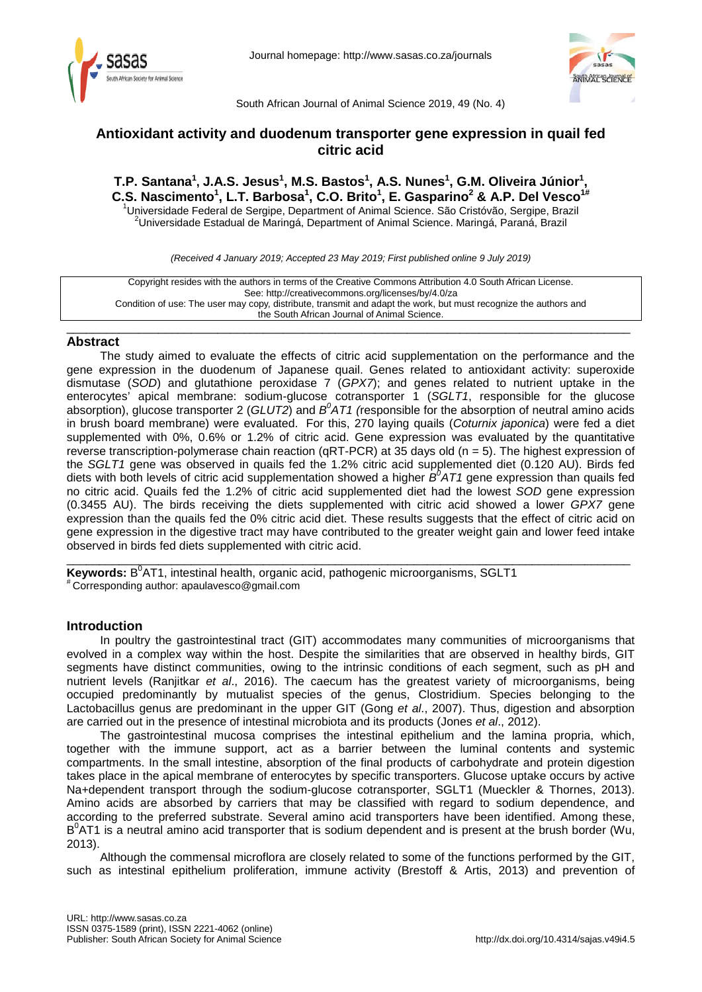



South African Journal of Animal Science 2019, 49 (No. 4)

# **Antioxidant activity and duodenum transporter gene expression in quail fed citric acid**

**T.P. Santana1 , J.A.S. Jesus1 , M.S. Bastos1 , A.S. Nunes1 , G.M. Oliveira Júnior<sup>1</sup> , C.S. Nascimento1 , L.T. Barbosa1 , C.O. Brito1 , E. Gasparino2 & A.P. Del Vesco1#** <sup>1</sup>Universidade Federal de Sergipe, Department of Animal Science. São Cristóvão, Sergipe, Brazil<br><sup>2</sup>Universidade Estadual de Maringé, Department of Animal Science, Maringé, Personé, Prazil <sup>2</sup>Universidade Estadual de Maringá, Department of Animal Science. Maringá, Paraná, Brazil

*(Received 4 January 2019; Accepted 23 May 2019; First published online 9 July 2019)*

Copyright resides with the authors in terms of the Creative Commons Attribution 4.0 South African License. See: http://creativecommons.org/licenses/by/4.0/za Condition of use: The user may copy, distribute, transmit and adapt the work, but must recognize the authors and the South African Journal of Animal Science.

### \_\_\_\_\_\_\_\_\_\_\_\_\_\_\_\_\_\_\_\_\_\_\_\_\_\_\_\_\_\_\_\_\_\_\_\_\_\_\_\_\_\_\_\_\_\_\_\_\_\_\_\_\_\_\_\_\_\_\_\_\_\_\_\_\_\_\_\_\_\_\_\_\_\_\_\_\_\_\_\_\_\_\_\_\_\_ **Abstract**

The study aimed to evaluate the effects of citric acid supplementation on the performance and the gene expression in the duodenum of Japanese quail. Genes related to antioxidant activity: superoxide dismutase (*SOD*) and glutathione peroxidase 7 (*GPX7*); and genes related to nutrient uptake in the enterocytes' apical membrane: sodium-glucose cotransporter 1 (*SGLT1*, responsible for the glucose absorption), glucose transporter 2 (GLUT2) and B<sup>0</sup>AT1 (responsible for the absorption of neutral amino acids in brush board membrane) were evaluated. For this, 270 laying quails (*Coturnix japonica*) were fed a diet supplemented with 0%, 0.6% or 1.2% of citric acid. Gene expression was evaluated by the quantitative reverse transcription-polymerase chain reaction (qRT-PCR) at 35 days old (n = 5). The highest expression of the *SGLT1* gene was observed in quails fed the 1.2% citric acid supplemented diet (0.120 AU). Birds fed diets with both levels of citric acid supplementation showed a higher  $B^{\delta}AT1$  gene expression than quails fed no citric acid. Quails fed the 1.2% of citric acid supplemented diet had the lowest *SOD* gene expression (0.3455 AU). The birds receiving the diets supplemented with citric acid showed a lower *GPX7* gene expression than the quails fed the 0% citric acid diet. These results suggests that the effect of citric acid on gene expression in the digestive tract may have contributed to the greater weight gain and lower feed intake observed in birds fed diets supplemented with citric acid.

\_\_\_\_\_\_\_\_\_\_\_\_\_\_\_\_\_\_\_\_\_\_\_\_\_\_\_\_\_\_\_\_\_\_\_\_\_\_\_\_\_\_\_\_\_\_\_\_\_\_\_\_\_\_\_\_\_\_\_\_\_\_\_\_\_\_\_\_\_\_\_\_\_\_\_\_\_\_\_\_\_\_\_\_\_\_ **Keywords:** B<sup>0</sup>AT1, intestinal health, organic acid, pathogenic microorganisms, SGLT1<br><sup>#</sup>Corresponding author: [apaulavesco@gmail.com](mailto:apaulavesco@gmail.com)

## **Introduction**

In poultry the gastrointestinal tract (GIT) accommodates many communities of microorganisms that evolved in a complex way within the host. Despite the similarities that are observed in healthy birds, GIT segments have distinct communities, owing to the intrinsic conditions of each segment, such as pH and nutrient levels (Ranjitkar *et al*., 2016). The caecum has the greatest variety of microorganisms, being occupied predominantly by mutualist species of the genus, Clostridium. Species belonging to the Lactobacillus genus are predominant in the upper GIT (Gong *et al*., 2007). Thus, digestion and absorption are carried out in the presence of intestinal microbiota and its products (Jones *et al*., 2012).

The gastrointestinal mucosa comprises the intestinal epithelium and the lamina propria, which, together with the immune support, act as a barrier between the luminal contents and systemic compartments. In the small intestine, absorption of the final products of carbohydrate and protein digestion takes place in the apical membrane of enterocytes by specific transporters. Glucose uptake occurs by active Na+dependent transport through the sodium-glucose cotransporter, SGLT1 (Mueckler & Thornes, 2013). Amino acids are absorbed by carriers that may be classified with regard to sodium dependence, and according to the preferred substrate. Several amino acid transporters have been identified. Among these, B<sup>0</sup>AT1 is a neutral amino acid transporter that is sodium dependent and is present at the brush border (Wu, 2013).

Although the commensal microflora are closely related to some of the functions performed by the GIT, such as intestinal epithelium proliferation, immune activity (Brestoff & Artis, 2013) and prevention of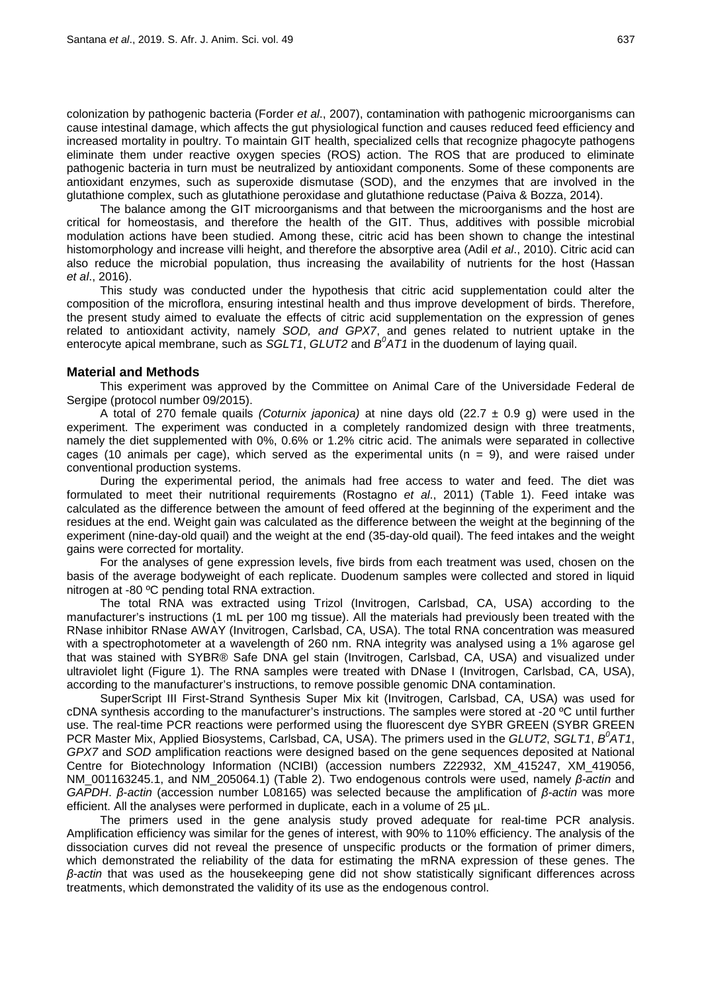colonization by pathogenic bacteria (Forder *et al*., 2007), contamination with pathogenic microorganisms can cause intestinal damage, which affects the gut physiological function and causes reduced feed efficiency and increased mortality in poultry. To maintain GIT health, specialized cells that recognize phagocyte pathogens eliminate them under reactive oxygen species (ROS) action. The ROS that are produced to eliminate pathogenic bacteria in turn must be neutralized by antioxidant components. Some of these components are antioxidant enzymes, such as superoxide dismutase (SOD), and the enzymes that are involved in the glutathione complex, such as glutathione peroxidase and glutathione reductase (Paiva & Bozza, 2014).

The balance among the GIT microorganisms and that between the microorganisms and the host are critical for homeostasis, and therefore the health of the GIT. Thus, additives with possible microbial modulation actions have been studied. Among these, citric acid has been shown to change the intestinal histomorphology and increase villi height, and therefore the absorptive area (Adil *et al*., 2010). Citric acid can also reduce the microbial population, thus increasing the availability of nutrients for the host (Hassan *et al*., 2016).

This study was conducted under the hypothesis that citric acid supplementation could alter the composition of the microflora, ensuring intestinal health and thus improve development of birds. Therefore, the present study aimed to evaluate the effects of citric acid supplementation on the expression of genes related to antioxidant activity, namely *SOD, and GPX7*, and genes related to nutrient uptake in the enterocyte apical membrane, such as *SGLT1*, *GLUT2* and *B<sup>0</sup>AT1* in the duodenum of laying quail.

### **Material and Methods**

This experiment was approved by the Committee on Animal Care of the Universidade Federal de Sergipe (protocol number 09/2015).

A total of 270 female quails *(Coturnix japonica)* at nine days old (22.7 ± 0.9 g) were used in the experiment. The experiment was conducted in a completely randomized design with three treatments, namely the diet supplemented with 0%, 0.6% or 1.2% citric acid. The animals were separated in collective cages (10 animals per cage), which served as the experimental units  $(n = 9)$ , and were raised under conventional production systems.

During the experimental period, the animals had free access to water and feed. The diet was formulated to meet their nutritional requirements (Rostagno *et al*., 2011) (Table 1). Feed intake was calculated as the difference between the amount of feed offered at the beginning of the experiment and the residues at the end. Weight gain was calculated as the difference between the weight at the beginning of the experiment (nine-day-old quail) and the weight at the end (35-day-old quail). The feed intakes and the weight gains were corrected for mortality.

For the analyses of gene expression levels, five birds from each treatment was used, chosen on the basis of the average bodyweight of each replicate. Duodenum samples were collected and stored in liquid nitrogen at -80 ºC pending total RNA extraction.

The total RNA was extracted using Trizol (Invitrogen, Carlsbad, CA, USA) according to the manufacturer's instructions (1 mL per 100 mg tissue). All the materials had previously been treated with the RNase inhibitor RNase AWAY (Invitrogen, Carlsbad, CA, USA). The total RNA concentration was measured with a spectrophotometer at a wavelength of 260 nm. RNA integrity was analysed using a 1% agarose gel that was stained with SYBR® Safe DNA gel stain (Invitrogen, Carlsbad, CA, USA) and visualized under ultraviolet light (Figure 1). The RNA samples were treated with DNase I (Invitrogen, Carlsbad, CA, USA), according to the manufacturer's instructions, to remove possible genomic DNA contamination.

SuperScript III First-Strand Synthesis Super Mix kit (Invitrogen, Carlsbad, CA, USA) was used for cDNA synthesis according to the manufacturer's instructions. The samples were stored at -20 ºC until further use. The real-time PCR reactions were performed using the fluorescent dye SYBR GREEN (SYBR GREEN PCR Master Mix, Applied Biosystems, Carlsbad, CA, USA). The primers used in the *GLUT2*, *SGLT1*, *B<sup>0</sup> AT1*, *GPX7* and *SOD* amplification reactions were designed based on the gene sequences deposited at National Centre for Biotechnology Information (NCIBI) (accession numbers Z22932, XM\_415247, XM\_419056, NM\_001163245.1, and NM\_205064.1) (Table 2). Two endogenous controls were used, namely *β-actin* and *GAPDH*. *β-actin* (accession number L08165) was selected because the amplification of *β-actin* was more efficient. All the analyses were performed in duplicate, each in a volume of 25 µL.

The primers used in the gene analysis study proved adequate for real-time PCR analysis. Amplification efficiency was similar for the genes of interest, with 90% to 110% efficiency. The analysis of the dissociation curves did not reveal the presence of unspecific products or the formation of primer dimers, which demonstrated the reliability of the data for estimating the mRNA expression of these genes. The *β-actin* that was used as the housekeeping gene did not show statistically significant differences across treatments, which demonstrated the validity of its use as the endogenous control.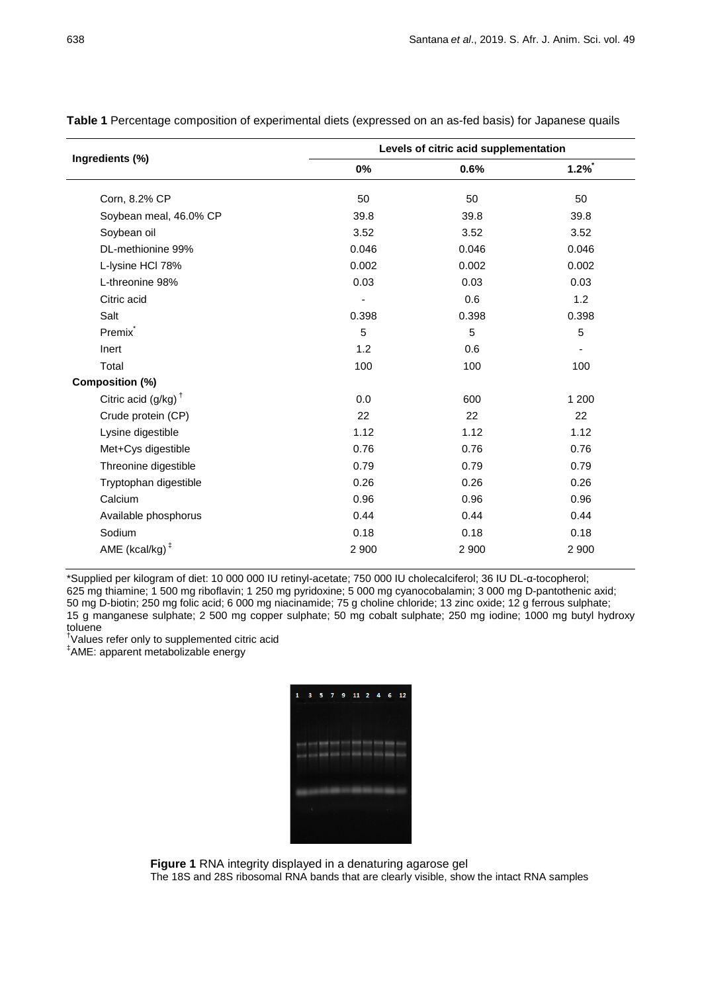|                                | Levels of citric acid supplementation |                |         |  |  |
|--------------------------------|---------------------------------------|----------------|---------|--|--|
| Ingredients (%)                | 0%                                    | 0.6%           | $1.2\%$ |  |  |
| Corn, 8.2% CP                  | 50                                    | 50             | 50      |  |  |
| Soybean meal, 46.0% CP         | 39.8                                  | 39.8           | 39.8    |  |  |
| Soybean oil                    | 3.52                                  | 3.52           | 3.52    |  |  |
| DL-methionine 99%              | 0.046                                 | 0.046          | 0.046   |  |  |
| L-lysine HCl 78%               | 0.002                                 | 0.002          | 0.002   |  |  |
| L-threonine 98%                | 0.03                                  | 0.03           | 0.03    |  |  |
| Citric acid                    |                                       | 0.6            | 1.2     |  |  |
| Salt                           | 0.398                                 | 0.398          | 0.398   |  |  |
| Premix <sup>*</sup>            | 5                                     | $\overline{5}$ | 5       |  |  |
| Inert                          | 1.2                                   | 0.6            |         |  |  |
| Total                          | 100                                   | 100            | 100     |  |  |
| Composition (%)                |                                       |                |         |  |  |
| Citric acid $(g/kg)^{\dagger}$ | 0.0                                   | 600            | 1 200   |  |  |
| Crude protein (CP)             | 22                                    | 22             | 22      |  |  |
| Lysine digestible              | 1.12                                  | 1.12           | 1.12    |  |  |
| Met+Cys digestible             | 0.76                                  | 0.76           | 0.76    |  |  |
| Threonine digestible           | 0.79                                  | 0.79           | 0.79    |  |  |
| Tryptophan digestible          | 0.26                                  | 0.26           | 0.26    |  |  |
| Calcium                        | 0.96                                  | 0.96           | 0.96    |  |  |
| Available phosphorus           | 0.44                                  | 0.44           | 0.44    |  |  |
| Sodium                         | 0.18                                  | 0.18           | 0.18    |  |  |
| AME (kcal/kg) $‡$              | 2 9 0 0                               | 2 900          | 2 9 0 0 |  |  |

**Table 1** Percentage composition of experimental diets (expressed on an as-fed basis) for Japanese quails

\*Supplied per kilogram of diet: 10 000 000 IU retinyl-acetate; 750 000 IU cholecalciferol; 36 IU DL-α-tocopherol; 625 mg thiamine; 1 500 mg riboflavin; 1 250 mg pyridoxine; 5 000 mg cyanocobalamin; 3 000 mg D-pantothenic axid; 50 mg D-biotin; 250 mg folic acid; 6 000 mg niacinamide; 75 g choline chloride; 13 zinc oxide; 12 g ferrous sulphate; 15 g manganese sulphate; 2 500 mg copper sulphate; 50 mg cobalt sulphate; 250 mg iodine; 1000 mg butyl hydroxy toluene

† Values refer only to supplemented citric acid

‡ AME: apparent metabolizable energy

| 1 | 3<br><b>College College</b> | the company's support of the company's | 5 7 9 11 2 4             |  | $6 - 12$ |
|---|-----------------------------|----------------------------------------|--------------------------|--|----------|
|   |                             |                                        |                          |  |          |
|   |                             |                                        | streets through the con- |  |          |
|   |                             |                                        |                          |  |          |
|   |                             |                                        |                          |  |          |
|   |                             |                                        |                          |  |          |
|   |                             |                                        |                          |  |          |

**Figure 1** RNA integrity displayed in a denaturing agarose gel

The 18S and 28S ribosomal RNA bands that are clearly visible, show the intact RNA samples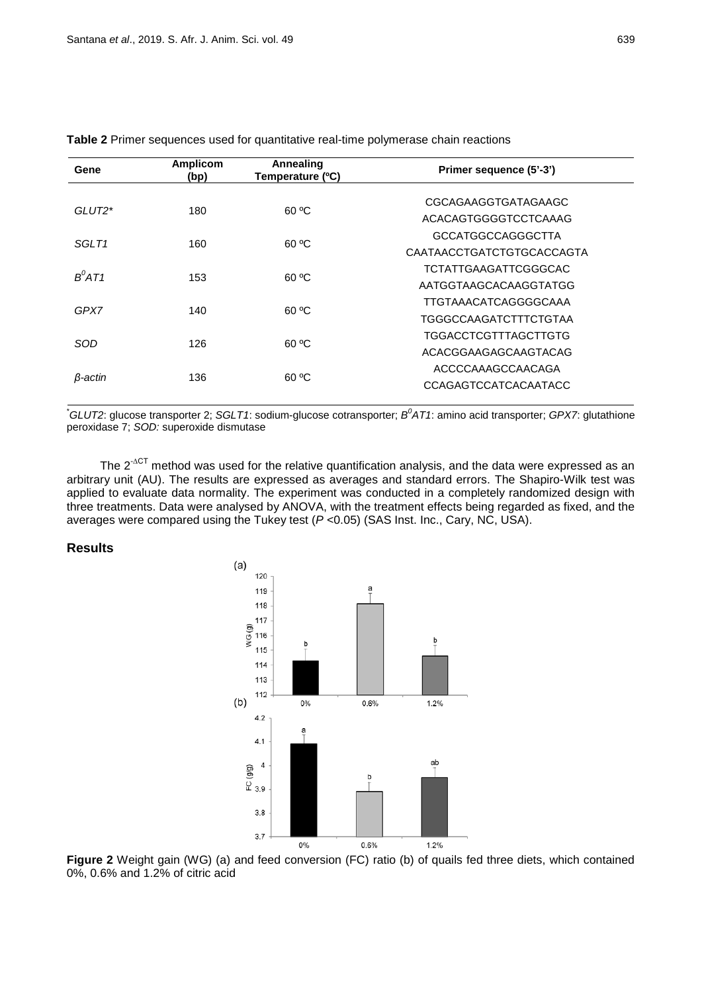| Gene               | <b>Amplicom</b><br>Annealing<br>Temperature (°C)<br>(bp) |                          | Primer sequence (5'-3')     |  |  |  |
|--------------------|----------------------------------------------------------|--------------------------|-----------------------------|--|--|--|
| GLUT2 <sup>*</sup> |                                                          | 60 °C                    | CGCAGAAGGTGATAGAAGC         |  |  |  |
|                    | 180                                                      |                          | ACACAGTGGGGTCCTCAAAG        |  |  |  |
|                    |                                                          | <b>GCCATGGCCAGGGCTTA</b> |                             |  |  |  |
| SGI T1             | 160                                                      | 60 °C                    | CAATAACCTGATCTGTGCACCAGTA   |  |  |  |
| $B^0AT1$           |                                                          |                          | <b>TCTATTGAAGATTCGGGCAC</b> |  |  |  |
|                    | 153                                                      | 60 °C                    | AATGGTAAGCACAAGGTATGG       |  |  |  |
|                    |                                                          |                          | TTGTAAACATCAGGGGCAAA        |  |  |  |
| GPX7               | 140                                                      | 60 °C                    | TGGGCCAAGATCTTTCTGTAA       |  |  |  |
|                    | SOD<br>126                                               | 60 °C                    | TGGACCTCGTTTAGCTTGTG        |  |  |  |
|                    |                                                          |                          | ACACGGAAGAGCAAGTACAG        |  |  |  |
|                    |                                                          | ACCCCAAAGCCAACAGA        |                             |  |  |  |
| β-actin            | 136                                                      | 60 °C                    | <b>CCAGAGTCCATCACAATACC</b> |  |  |  |

### **Table 2** Primer sequences used for quantitative real-time polymerase chain reactions

\* *GLUT2*: glucose transporter 2; *SGLT1*: sodium-glucose cotransporter; *B0 AT1*: amino acid transporter; *GPX7*: glutathione peroxidase 7; *SOD:* superoxide dismutase

The 2<sup>-∆CT</sup> method was used for the relative quantification analysis, and the data were expressed as an arbitrary unit (AU). The results are expressed as averages and standard errors. The Shapiro-Wilk test was applied to evaluate data normality. The experiment was conducted in a completely randomized design with three treatments. Data were analysed by ANOVA, with the treatment effects being regarded as fixed, and the averages were compared using the Tukey test (*P* <0.05) (SAS Inst. Inc., Cary, NC, USA).

### **Results**



**Figure 2** Weight gain (WG) (a) and feed conversion (FC) ratio (b) of quails fed three diets, which contained 0%, 0.6% and 1.2% of citric acid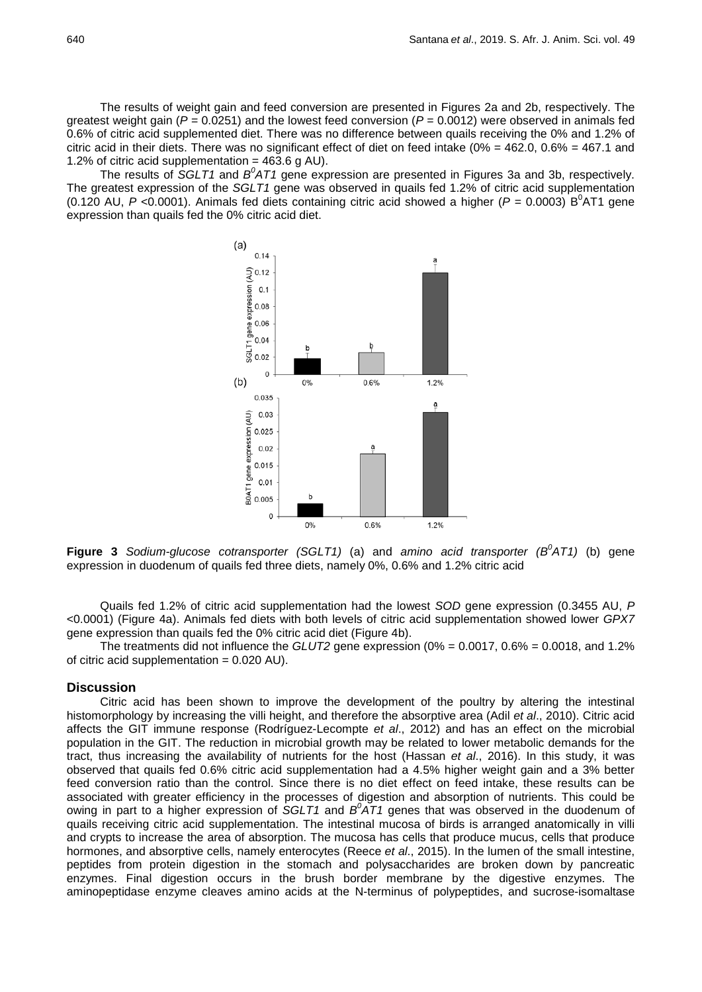The results of weight gain and feed conversion are presented in Figures 2a and 2b, respectively. The greatest weight gain ( $P = 0.0251$ ) and the lowest feed conversion ( $P = 0.0012$ ) were observed in animals fed 0.6% of citric acid supplemented diet. There was no difference between quails receiving the 0% and 1.2% of citric acid in their diets. There was no significant effect of diet on feed intake (0% = 462.0, 0.6% = 467.1 and 1.2% of citric acid supplementation =  $463.6$  g AU).

The results of *SGLT1* and  $B^0$ AT1 gene expression are presented in Figures 3a and 3b, respectively. The greatest expression of the *SGLT1* gene was observed in quails fed 1.2% of citric acid supplementation (0.120 AU,  $P$  <0.0001). Animals fed diets containing citric acid showed a higher ( $P = 0.0003$ ) B<sup>0</sup>AT1 gene expression than quails fed the 0% citric acid diet.



**Figure 3** *Sodium-glucose cotransporter (SGLT1)* (a) and *amino acid transporter (B<sup>0</sup>AT1)* (b) gene expression in duodenum of quails fed three diets, namely 0%, 0.6% and 1.2% citric acid

Quails fed 1.2% of citric acid supplementation had the lowest *SOD* gene expression (0.3455 AU, *P* <0.0001) (Figure 4a). Animals fed diets with both levels of citric acid supplementation showed lower *GPX7* gene expression than quails fed the 0% citric acid diet (Figure 4b).

The treatments did not influence the *GLUT2* gene expression (0% = 0.0017, 0.6% = 0.0018, and 1.2% of citric acid supplementation  $= 0.020$  AU).

### **Discussion**

Citric acid has been shown to improve the development of the poultry by altering the intestinal histomorphology by increasing the villi height, and therefore the absorptive area (Adil *et al*., 2010). Citric acid affects the GIT immune response (Rodríguez-Lecompte *et al*., 2012) and has an effect on the microbial population in the GIT. The reduction in microbial growth may be related to lower metabolic demands for the tract, thus increasing the availability of nutrients for the host (Hassan *et al*., 2016). In this study, it was observed that quails fed 0.6% citric acid supplementation had a 4.5% higher weight gain and a 3% better feed conversion ratio than the control. Since there is no diet effect on feed intake, these results can be associated with greater efficiency in the processes of digestion and absorption of nutrients. This could be owing in part to a higher expression of *SGLT1* and  $B^0$ AT1 genes that was observed in the duodenum of quails receiving citric acid supplementation. The intestinal mucosa of birds is arranged anatomically in villi and crypts to increase the area of absorption. The mucosa has cells that produce mucus, cells that produce hormones, and absorptive cells, namely enterocytes (Reece *et al*., 2015). In the lumen of the small intestine, peptides from protein digestion in the stomach and polysaccharides are broken down by pancreatic enzymes. Final digestion occurs in the brush border membrane by the digestive enzymes. The aminopeptidase enzyme cleaves amino acids at the N-terminus of polypeptides, and sucrose-isomaltase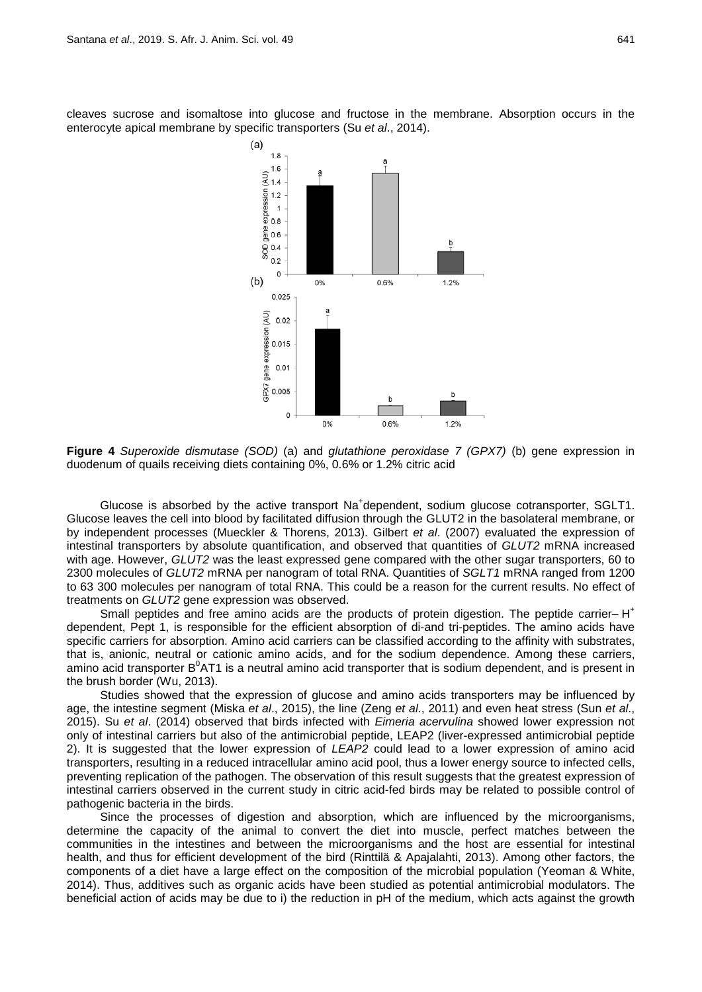cleaves sucrose and isomaltose into glucose and fructose in the membrane. Absorption occurs in the enterocyte apical membrane by specific transporters (Su *et al*., 2014).



**Figure 4** *Superoxide dismutase (SOD)* (a) and *glutathione peroxidase 7 (GPX7)* (b) gene expression in duodenum of quails receiving diets containing 0%, 0.6% or 1.2% citric acid

Glucose is absorbed by the active transport Na<sup>+</sup>dependent, sodium glucose cotransporter, SGLT1. Glucose leaves the cell into blood by facilitated diffusion through the GLUT2 in the basolateral membrane, or by independent processes (Mueckler & Thorens, 2013). Gilbert *et al*. (2007) evaluated the expression of intestinal transporters by absolute quantification, and observed that quantities of *GLUT2* mRNA increased with age. However, *GLUT2* was the least expressed gene compared with the other sugar transporters, 60 to 2300 molecules of *GLUT2* mRNA per nanogram of total RNA. Quantities of *SGLT1* mRNA ranged from 1200 to 63 300 molecules per nanogram of total RNA. This could be a reason for the current results. No effect of treatments on *GLUT2* gene expression was observed.

Small peptides and free amino acids are the products of protein digestion. The peptide carrier–  $H^+$ dependent, Pept 1, is responsible for the efficient absorption of di-and tri-peptides. The amino acids have specific carriers for absorption. Amino acid carriers can be classified according to the affinity with substrates, that is, anionic, neutral or cationic amino acids, and for the sodium dependence. Among these carriers, amino acid transporter B<sup>0</sup>AT1 is a neutral amino acid transporter that is sodium dependent, and is present in the brush border (Wu, 2013).

Studies showed that the expression of glucose and amino acids transporters may be influenced by age, the intestine segment (Miska *et al*., 2015), the line (Zeng *et al*., 2011) and even heat stress (Sun *et al*., 2015). Su *et al*. (2014) observed that birds infected with *Eimeria acervulina* showed lower expression not only of intestinal carriers but also of the antimicrobial peptide, LEAP2 (liver-expressed antimicrobial peptide 2). It is suggested that the lower expression of *LEAP2* could lead to a lower expression of amino acid transporters, resulting in a reduced intracellular amino acid pool, thus a lower energy source to infected cells, preventing replication of the pathogen. The observation of this result suggests that the greatest expression of intestinal carriers observed in the current study in citric acid-fed birds may be related to possible control of pathogenic bacteria in the birds.

Since the processes of digestion and absorption, which are influenced by the microorganisms, determine the capacity of the animal to convert the diet into muscle, perfect matches between the communities in the intestines and between the microorganisms and the host are essential for intestinal health, and thus for efficient development of the bird (Rinttilä & Apajalahti, 2013). Among other factors, the components of a diet have a large effect on the composition of the microbial population (Yeoman & White, 2014). Thus, additives such as organic acids have been studied as potential antimicrobial modulators. The beneficial action of acids may be due to i) the reduction in pH of the medium, which acts against the growth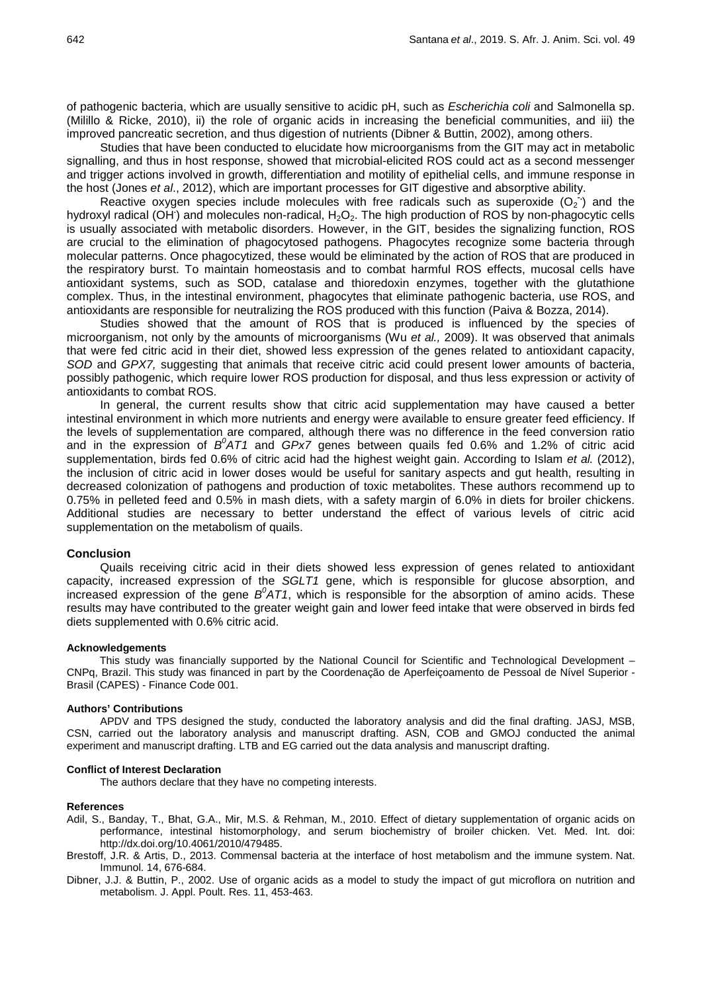of pathogenic bacteria, which are usually sensitive to acidic pH, such as *Escherichia coli* and Salmonella sp. (Milillo & Ricke, 2010), ii) the role of organic acids in increasing the beneficial communities, and iii) the improved pancreatic secretion, and thus digestion of nutrients (Dibner & Buttin, 2002), among others.

Studies that have been conducted to elucidate how microorganisms from the GIT may act in metabolic signalling, and thus in host response, showed that microbial-elicited ROS could act as a second messenger and trigger actions involved in growth, differentiation and motility of epithelial cells, and immune response in the host (Jones *et al*., 2012), which are important processes for GIT digestive and absorptive ability.

Reactive oxygen species include molecules with free radicals such as superoxide  $(O_2)$  and the hydroxyl radical (OH) and molecules non-radical, H<sub>2</sub>O<sub>2</sub>. The high production of ROS by non-phagocytic cells is usually associated with metabolic disorders. However, in the GIT, besides the signalizing function, ROS are crucial to the elimination of phagocytosed pathogens. Phagocytes recognize some bacteria through molecular patterns. Once phagocytized, these would be eliminated by the action of ROS that are produced in the respiratory burst. To maintain homeostasis and to combat harmful ROS effects, mucosal cells have antioxidant systems, such as SOD, catalase and thioredoxin enzymes, together with the glutathione complex. Thus, in the intestinal environment, phagocytes that eliminate pathogenic bacteria, use ROS, and antioxidants are responsible for neutralizing the ROS produced with this function (Paiva & Bozza, 2014).

Studies showed that the amount of ROS that is produced is influenced by the species of microorganism, not only by the amounts of microorganisms (Wu *et al.,* 2009). It was observed that animals that were fed citric acid in their diet, showed less expression of the genes related to antioxidant capacity, *SOD* and *GPX7,* suggesting that animals that receive citric acid could present lower amounts of bacteria, possibly pathogenic, which require lower ROS production for disposal, and thus less expression or activity of antioxidants to combat ROS.

In general, the current results show that citric acid supplementation may have caused a better intestinal environment in which more nutrients and energy were available to ensure greater feed efficiency. If the levels of supplementation are compared, although there was no difference in the feed conversion ratio and in the expression of  $B^0AT1$  and GPx7 genes between quails fed 0.6% and 1.2% of citric acid supplementation, birds fed 0.6% of citric acid had the highest weight gain. According to Islam *et al.* (2012), the inclusion of citric acid in lower doses would be useful for sanitary aspects and gut health, resulting in decreased colonization of pathogens and production of toxic metabolites. These authors recommend up to 0.75% in pelleted feed and 0.5% in mash diets, with a safety margin of 6.0% in diets for broiler chickens. Additional studies are necessary to better understand the effect of various levels of citric acid supplementation on the metabolism of quails.

#### **Conclusion**

Quails receiving citric acid in their diets showed less expression of genes related to antioxidant capacity, increased expression of the *SGLT1* gene, which is responsible for glucose absorption, and increased expression of the gene  $B^0$ AT1, which is responsible for the absorption of amino acids. These results may have contributed to the greater weight gain and lower feed intake that were observed in birds fed diets supplemented with 0.6% citric acid.

#### **Acknowledgements**

This study was financially supported by the National Council for Scientific and Technological Development – CNPq, Brazil. This study was financed in part by the Coordenação de Aperfeiçoamento de Pessoal de Nível Superior - Brasil (CAPES) - Finance Code 001.

### **Authors' Contributions**

APDV and TPS designed the study, conducted the laboratory analysis and did the final drafting. JASJ, MSB, CSN, carried out the laboratory analysis and manuscript drafting. ASN, COB and GMOJ conducted the animal experiment and manuscript drafting. LTB and EG carried out the data analysis and manuscript drafting.

#### **Conflict of Interest Declaration**

The authors declare that they have no competing interests.

### **References**

- Adil, S., Banday, T., Bhat, G.A., Mir, M.S. & Rehman, M., 2010. Effect of dietary supplementation of organic acids on performance, intestinal histomorphology, and serum biochemistry of broiler chicken. Vet. Med. Int. doi: [http://dx.doi.org/10.4061/2010/479485.](http://dx.doi.org/10.4061/2010/479485)
- Brestoff, J.R. & Artis, D., 2013. Commensal bacteria at the interface of host metabolism and the immune system. Nat. Immunol. 14, 676-684.
- [Dibner,](http://japr.oxfordjournals.org/search?author1=J.+J.+Dibner&sortspec=date&submit=Submit) J.J. & [Buttin,](http://japr.oxfordjournals.org/search?author1=P.+Buttin&sortspec=date&submit=Submit) P., 2002. Use of organic acids as a model to study the impact of gut microflora on nutrition and metabolism. J. Appl. Poult. Res. 11, 453-463.